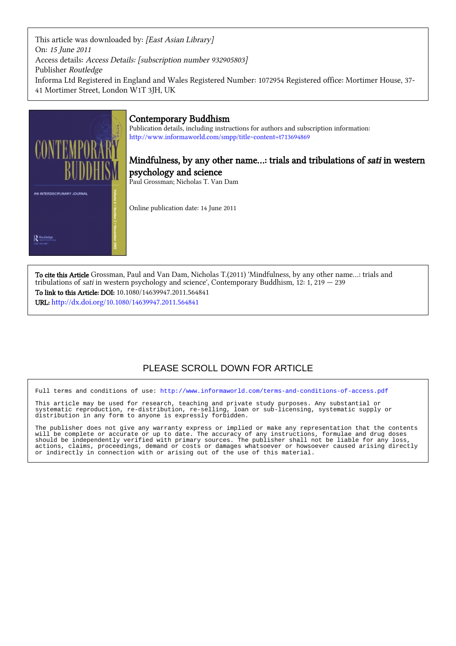This article was downloaded by: [East Asian Library] On: 15 June 2011 Access details: Access Details: [subscription number 932905803] Publisher Routledge Informa Ltd Registered in England and Wales Registered Number: 1072954 Registered office: Mortimer House, 37- 41 Mortimer Street, London W1T 3JH, UK



# Contemporary Buddhism

Publication details, including instructions for authors and subscription information: <http://www.informaworld.com/smpp/title~content=t713694869>

# Mindfulness, by any other name…: trials and tribulations of sati in western psychology and science

Paul Grossman; Nicholas T. Van Dam

Online publication date: 14 June 2011

To cite this Article Grossman, Paul and Van Dam, Nicholas T.(2011) 'Mindfulness, by any other name…: trials and tribulations of sati in western psychology and science', Contemporary Buddhism, 12: 1, 219 — 239 To link to this Article: DOI: 10.1080/14639947.2011.564841 URL: <http://dx.doi.org/10.1080/14639947.2011.564841>

# PLEASE SCROLL DOWN FOR ARTICLE

Full terms and conditions of use:<http://www.informaworld.com/terms-and-conditions-of-access.pdf>

This article may be used for research, teaching and private study purposes. Any substantial or systematic reproduction, re-distribution, re-selling, loan or sub-licensing, systematic supply or distribution in any form to anyone is expressly forbidden.

The publisher does not give any warranty express or implied or make any representation that the contents will be complete or accurate or up to date. The accuracy of any instructions, formulae and drug doses should be independently verified with primary sources. The publisher shall not be liable for any loss, actions, claims, proceedings, demand or costs or damages whatsoever or howsoever caused arising directly or indirectly in connection with or arising out of the use of this material.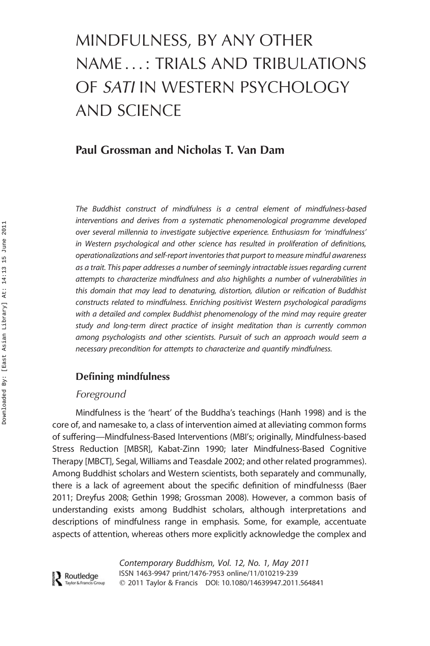# MINDFULNESS, BY ANY OTHER NAME ... : TRIALS AND TRIBULATIONS OF SATI IN WESTERN PSYCHOLOGY AND SCIENCE

# Paul Grossman and Nicholas T. Van Dam

The Buddhist construct of mindfulness is a central element of mindfulness-based interventions and derives from a systematic phenomenological programme developed over several millennia to investigate subjective experience. Enthusiasm for 'mindfulness' in Western psychological and other science has resulted in proliferation of definitions, operationalizations and self-report inventories that purport to measure mindful awareness as a trait. This paper addresses a number of seemingly intractable issues regarding current attempts to characterize mindfulness and also highlights a number of vulnerabilities in this domain that may lead to denaturing, distortion, dilution or reification of Buddhist constructs related to mindfulness. Enriching positivist Western psychological paradigms with a detailed and complex Buddhist phenomenology of the mind may require greater study and long-term direct practice of insight meditation than is currently common among psychologists and other scientists. Pursuit of such an approach would seem a necessary precondition for attempts to characterize and quantify mindfulness.

### Defining mindfulness

#### Foreground

Mindfulness is the 'heart' of the Buddha's teachings (Hanh 1998) and is the core of, and namesake to, a class of intervention aimed at alleviating common forms of suffering—Mindfulness-Based Interventions (MBI's; originally, Mindfulness-based Stress Reduction [MBSR], Kabat-Zinn 1990; later Mindfulness-Based Cognitive Therapy [MBCT], Segal, Williams and Teasdale 2002; and other related programmes). Among Buddhist scholars and Western scientists, both separately and communally, there is a lack of agreement about the specific definition of mindfulnesss (Baer 2011; Dreyfus 2008; Gethin 1998; Grossman 2008). However, a common basis of understanding exists among Buddhist scholars, although interpretations and descriptions of mindfulness range in emphasis. Some, for example, accentuate aspects of attention, whereas others more explicitly acknowledge the complex and



Contemporary Buddhism, Vol. 12, No. 1, May 2011 ISSN 1463-9947 print/1476-7953 online/11/010219-239 q 2011 Taylor & Francis DOI: 10.1080/14639947.2011.564841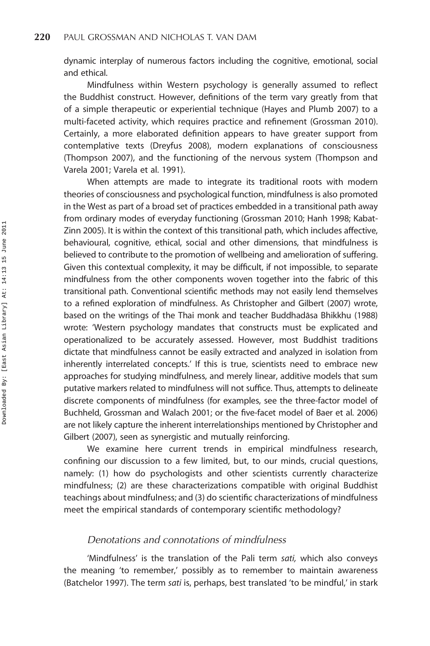dynamic interplay of numerous factors including the cognitive, emotional, social and ethical.

Mindfulness within Western psychology is generally assumed to reflect the Buddhist construct. However, definitions of the term vary greatly from that of a simple therapeutic or experiential technique (Hayes and Plumb 2007) to a multi-faceted activity, which requires practice and refinement (Grossman 2010). Certainly, a more elaborated definition appears to have greater support from contemplative texts (Dreyfus 2008), modern explanations of consciousness (Thompson 2007), and the functioning of the nervous system (Thompson and Varela 2001; Varela et al. 1991).

When attempts are made to integrate its traditional roots with modern theories of consciousness and psychological function, mindfulness is also promoted in the West as part of a broad set of practices embedded in a transitional path away from ordinary modes of everyday functioning (Grossman 2010; Hanh 1998; Kabat-Zinn 2005). It is within the context of this transitional path, which includes affective, behavioural, cognitive, ethical, social and other dimensions, that mindfulness is believed to contribute to the promotion of wellbeing and amelioration of suffering. Given this contextual complexity, it may be difficult, if not impossible, to separate mindfulness from the other components woven together into the fabric of this transitional path. Conventional scientific methods may not easily lend themselves to a refined exploration of mindfulness. As Christopher and Gilbert (2007) wrote, based on the writings of the Thai monk and teacher Buddhadāsa Bhikkhu (1988) wrote: 'Western psychology mandates that constructs must be explicated and operationalized to be accurately assessed. However, most Buddhist traditions dictate that mindfulness cannot be easily extracted and analyzed in isolation from inherently interrelated concepts.' If this is true, scientists need to embrace new approaches for studying mindfulness, and merely linear, additive models that sum putative markers related to mindfulness will not suffice. Thus, attempts to delineate discrete components of mindfulness (for examples, see the three-factor model of Buchheld, Grossman and Walach 2001; or the five-facet model of Baer et al. 2006) are not likely capture the inherent interrelationships mentioned by Christopher and Gilbert (2007), seen as synergistic and mutually reinforcing.

We examine here current trends in empirical mindfulness research, confining our discussion to a few limited, but, to our minds, crucial questions, namely: (1) how do psychologists and other scientists currently characterize mindfulness; (2) are these characterizations compatible with original Buddhist teachings about mindfulness; and (3) do scientific characterizations of mindfulness meet the empirical standards of contemporary scientific methodology?

# Denotations and connotations of mindfulness

'Mindfulness' is the translation of the Pali term sati, which also conveys the meaning 'to remember,' possibly as to remember to maintain awareness (Batchelor 1997). The term *sati* is, perhaps, best translated 'to be mindful,' in stark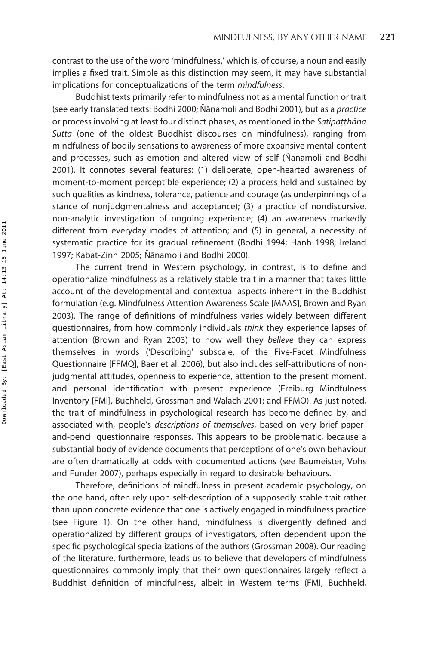contrast to the use of the word 'mindfulness,' which is, of course, a noun and easily implies a fixed trait. Simple as this distinction may seem, it may have substantial implications for conceptualizations of the term mindfulness.

Buddhist texts primarily refer to mindfulness not as a mental function or trait (see early translated texts: Bodhi 2000; Ñānamoli and Bodhi 2001), but as a *practice* or process involving at least four distinct phases, as mentioned in the Satipatthana \_ Sutta (one of the oldest Buddhist discourses on mindfulness), ranging from mindfulness of bodily sensations to awareness of more expansive mental content and processes, such as emotion and altered view of self (Nanamoli and Bodhi 2001). It connotes several features: (1) deliberate, open-hearted awareness of moment-to-moment perceptible experience; (2) a process held and sustained by such qualities as kindness, tolerance, patience and courage (as underpinnings of a stance of nonjudgmentalness and acceptance); (3) a practice of nondiscursive, non-analytic investigation of ongoing experience; (4) an awareness markedly different from everyday modes of attention; and (5) in general, a necessity of systematic practice for its gradual refinement (Bodhi 1994; Hanh 1998; Ireland 1997; Kabat-Zinn 2005; Ñānamoli and Bodhi 2000).

The current trend in Western psychology, in contrast, is to define and operationalize mindfulness as a relatively stable trait in a manner that takes little account of the developmental and contextual aspects inherent in the Buddhist formulation (e.g. Mindfulness Attention Awareness Scale [MAAS], Brown and Ryan 2003). The range of definitions of mindfulness varies widely between different questionnaires, from how commonly individuals think they experience lapses of attention (Brown and Ryan 2003) to how well they believe they can express themselves in words ('Describing' subscale, of the Five-Facet Mindfulness Questionnaire [FFMQ], Baer et al. 2006), but also includes self-attributions of nonjudgmental attitudes, openness to experience, attention to the present moment, and personal identification with present experience (Freiburg Mindfulness Inventory [FMI], Buchheld, Grossman and Walach 2001; and FFMQ). As just noted, the trait of mindfulness in psychological research has become defined by, and associated with, people's descriptions of themselves, based on very brief paperand-pencil questionnaire responses. This appears to be problematic, because a substantial body of evidence documents that perceptions of one's own behaviour are often dramatically at odds with documented actions (see Baumeister, Vohs and Funder 2007), perhaps especially in regard to desirable behaviours.

Therefore, definitions of mindfulness in present academic psychology, on the one hand, often rely upon self-description of a supposedly stable trait rather than upon concrete evidence that one is actively engaged in mindfulness practice (see Figure 1). On the other hand, mindfulness is divergently defined and operationalized by different groups of investigators, often dependent upon the specific psychological specializations of the authors (Grossman 2008). Our reading of the literature, furthermore, leads us to believe that developers of mindfulness questionnaires commonly imply that their own questionnaires largely reflect a Buddhist definition of mindfulness, albeit in Western terms (FMI, Buchheld,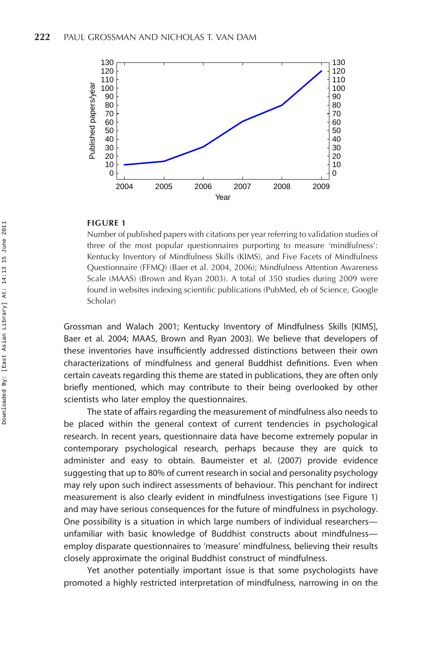

#### FIGURE 1

Number of published papers with citations per year referring to validation studies of three of the most popular questionnaires purporting to measure 'mindfulness': Kentucky Inventory of Mindfulness Skills (KIMS), and Five Facets of Mindfulness Questionnaire (FFMQ) (Baer et al. 2004, 2006); Mindfulness Attention Awareness Scale (MAAS) (Brown and Ryan 2003). A total of 350 studies during 2009 were found in websites indexing scientific publications (PubMed, eb of Science, Google Scholar)

Grossman and Walach 2001; Kentucky Inventory of Mindfulness Skills [KIMS], Baer et al. 2004; MAAS, Brown and Ryan 2003). We believe that developers of these inventories have insufficiently addressed distinctions between their own characterizations of mindfulness and general Buddhist definitions. Even when certain caveats regarding this theme are stated in publications, they are often only briefly mentioned, which may contribute to their being overlooked by other scientists who later employ the questionnaires.

The state of affairs regarding the measurement of mindfulness also needs to be placed within the general context of current tendencies in psychological research. In recent years, questionnaire data have become extremely popular in contemporary psychological research, perhaps because they are quick to administer and easy to obtain. Baumeister et al. (2007) provide evidence suggesting that up to 80% of current research in social and personality psychology may rely upon such indirect assessments of behaviour. This penchant for indirect measurement is also clearly evident in mindfulness investigations (see Figure 1) and may have serious consequences for the future of mindfulness in psychology. One possibility is a situation in which large numbers of individual researchers unfamiliar with basic knowledge of Buddhist constructs about mindfulness employ disparate questionnaires to 'measure' mindfulness, believing their results closely approximate the original Buddhist construct of mindfulness.

Yet another potentially important issue is that some psychologists have promoted a highly restricted interpretation of mindfulness, narrowing in on the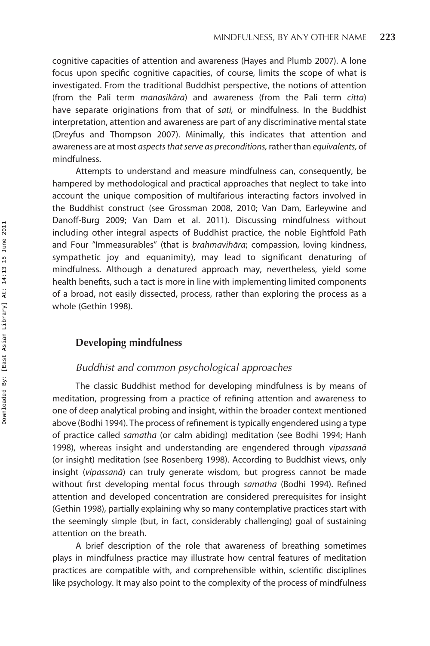cognitive capacities of attention and awareness (Hayes and Plumb 2007). A lone focus upon specific cognitive capacities, of course, limits the scope of what is investigated. From the traditional Buddhist perspective, the notions of attention (from the Pali term *manasikāra*) and awareness (from the Pali term citta) have separate originations from that of sati, or mindfulness. In the Buddhist interpretation, attention and awareness are part of any discriminative mental state (Dreyfus and Thompson 2007). Minimally, this indicates that attention and awareness are at most aspects that serve as preconditions, rather than equivalents, of mindfulness.

Attempts to understand and measure mindfulness can, consequently, be hampered by methodological and practical approaches that neglect to take into account the unique composition of multifarious interacting factors involved in the Buddhist construct (see Grossman 2008, 2010; Van Dam, Earleywine and Danoff-Burg 2009; Van Dam et al. 2011). Discussing mindfulness without including other integral aspects of Buddhist practice, the noble Eightfold Path and Four "Immeasurables" (that is brahmavihāra; compassion, loving kindness, sympathetic joy and equanimity), may lead to significant denaturing of mindfulness. Although a denatured approach may, nevertheless, yield some health benefits, such a tact is more in line with implementing limited components of a broad, not easily dissected, process, rather than exploring the process as a whole (Gethin 1998).

#### Developing mindfulness

# Buddhist and common psychological approaches

The classic Buddhist method for developing mindfulness is by means of meditation, progressing from a practice of refining attention and awareness to one of deep analytical probing and insight, within the broader context mentioned above (Bodhi 1994). The process of refinement is typically engendered using a type of practice called samatha (or calm abiding) meditation (see Bodhi 1994; Hanh 1998), whereas insight and understanding are engendered through vipassanā (or insight) meditation (see Rosenberg 1998). According to Buddhist views, only insight (vipassanā) can truly generate wisdom, but progress cannot be made without first developing mental focus through samatha (Bodhi 1994). Refined attention and developed concentration are considered prerequisites for insight (Gethin 1998), partially explaining why so many contemplative practices start with the seemingly simple (but, in fact, considerably challenging) goal of sustaining attention on the breath.

A brief description of the role that awareness of breathing sometimes plays in mindfulness practice may illustrate how central features of meditation practices are compatible with, and comprehensible within, scientific disciplines like psychology. It may also point to the complexity of the process of mindfulness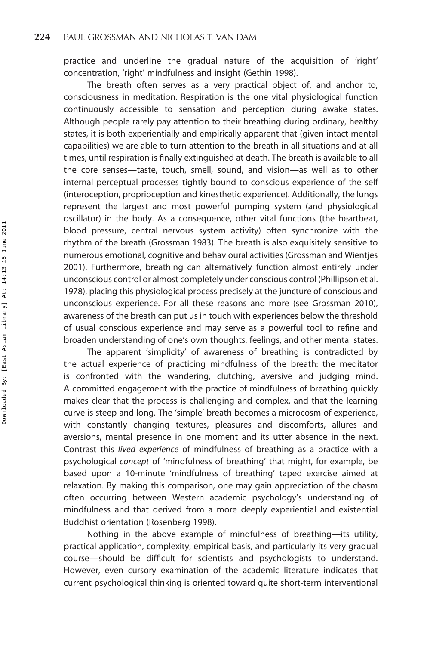practice and underline the gradual nature of the acquisition of 'right' concentration, 'right' mindfulness and insight (Gethin 1998).

The breath often serves as a very practical object of, and anchor to, consciousness in meditation. Respiration is the one vital physiological function continuously accessible to sensation and perception during awake states. Although people rarely pay attention to their breathing during ordinary, healthy states, it is both experientially and empirically apparent that (given intact mental capabilities) we are able to turn attention to the breath in all situations and at all times, until respiration is finally extinguished at death. The breath is available to all the core senses—taste, touch, smell, sound, and vision—as well as to other internal perceptual processes tightly bound to conscious experience of the self (interoception, proprioception and kinesthetic experience). Additionally, the lungs represent the largest and most powerful pumping system (and physiological oscillator) in the body. As a consequence, other vital functions (the heartbeat, blood pressure, central nervous system activity) often synchronize with the rhythm of the breath (Grossman 1983). The breath is also exquisitely sensitive to numerous emotional, cognitive and behavioural activities (Grossman and Wientjes 2001). Furthermore, breathing can alternatively function almost entirely under unconscious control or almost completely under conscious control (Phillipson et al. 1978), placing this physiological process precisely at the juncture of conscious and unconscious experience. For all these reasons and more (see Grossman 2010), awareness of the breath can put us in touch with experiences below the threshold of usual conscious experience and may serve as a powerful tool to refine and broaden understanding of one's own thoughts, feelings, and other mental states.

The apparent 'simplicity' of awareness of breathing is contradicted by the actual experience of practicing mindfulness of the breath: the meditator is confronted with the wandering, clutching, aversive and judging mind. A committed engagement with the practice of mindfulness of breathing quickly makes clear that the process is challenging and complex, and that the learning curve is steep and long. The 'simple' breath becomes a microcosm of experience, with constantly changing textures, pleasures and discomforts, allures and aversions, mental presence in one moment and its utter absence in the next. Contrast this lived experience of mindfulness of breathing as a practice with a psychological concept of 'mindfulness of breathing' that might, for example, be based upon a 10-minute 'mindfulness of breathing' taped exercise aimed at relaxation. By making this comparison, one may gain appreciation of the chasm often occurring between Western academic psychology's understanding of mindfulness and that derived from a more deeply experiential and existential Buddhist orientation (Rosenberg 1998).

Nothing in the above example of mindfulness of breathing—its utility, practical application, complexity, empirical basis, and particularly its very gradual course—should be difficult for scientists and psychologists to understand. However, even cursory examination of the academic literature indicates that current psychological thinking is oriented toward quite short-term interventional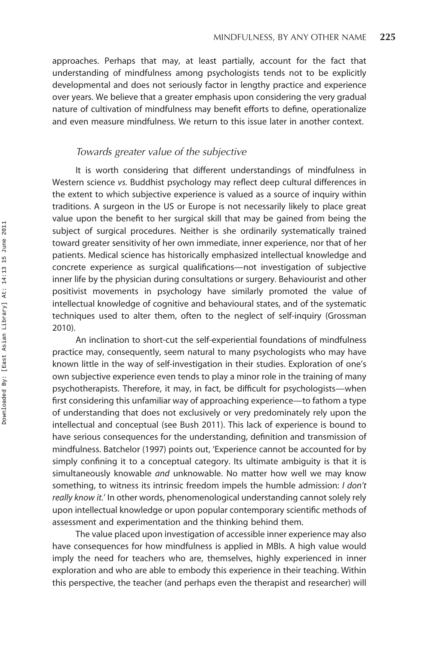approaches. Perhaps that may, at least partially, account for the fact that understanding of mindfulness among psychologists tends not to be explicitly developmental and does not seriously factor in lengthy practice and experience over years. We believe that a greater emphasis upon considering the very gradual nature of cultivation of mindfulness may benefit efforts to define, operationalize and even measure mindfulness. We return to this issue later in another context.

# Towards greater value of the subjective

It is worth considering that different understandings of mindfulness in Western science vs. Buddhist psychology may reflect deep cultural differences in the extent to which subjective experience is valued as a source of inquiry within traditions. A surgeon in the US or Europe is not necessarily likely to place great value upon the benefit to her surgical skill that may be gained from being the subject of surgical procedures. Neither is she ordinarily systematically trained toward greater sensitivity of her own immediate, inner experience, nor that of her patients. Medical science has historically emphasized intellectual knowledge and concrete experience as surgical qualifications—not investigation of subjective inner life by the physician during consultations or surgery. Behaviourist and other positivist movements in psychology have similarly promoted the value of intellectual knowledge of cognitive and behavioural states, and of the systematic techniques used to alter them, often to the neglect of self-inquiry (Grossman 2010).

An inclination to short-cut the self-experiential foundations of mindfulness practice may, consequently, seem natural to many psychologists who may have known little in the way of self-investigation in their studies. Exploration of one's own subjective experience even tends to play a minor role in the training of many psychotherapists. Therefore, it may, in fact, be difficult for psychologists—when first considering this unfamiliar way of approaching experience—to fathom a type of understanding that does not exclusively or very predominately rely upon the intellectual and conceptual (see Bush 2011). This lack of experience is bound to have serious consequences for the understanding, definition and transmission of mindfulness. Batchelor (1997) points out, 'Experience cannot be accounted for by simply confining it to a conceptual category. Its ultimate ambiguity is that it is simultaneously knowable and unknowable. No matter how well we may know something, to witness its intrinsic freedom impels the humble admission: *I don't* really know it.' In other words, phenomenological understanding cannot solely rely upon intellectual knowledge or upon popular contemporary scientific methods of assessment and experimentation and the thinking behind them.

The value placed upon investigation of accessible inner experience may also have consequences for how mindfulness is applied in MBIs. A high value would imply the need for teachers who are, themselves, highly experienced in inner exploration and who are able to embody this experience in their teaching. Within this perspective, the teacher (and perhaps even the therapist and researcher) will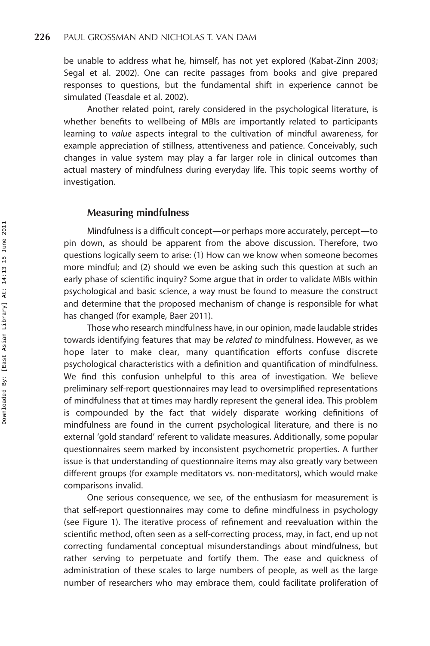be unable to address what he, himself, has not yet explored (Kabat-Zinn 2003; Segal et al. 2002). One can recite passages from books and give prepared responses to questions, but the fundamental shift in experience cannot be simulated (Teasdale et al. 2002).

Another related point, rarely considered in the psychological literature, is whether benefits to wellbeing of MBIs are importantly related to participants learning to value aspects integral to the cultivation of mindful awareness, for example appreciation of stillness, attentiveness and patience. Conceivably, such changes in value system may play a far larger role in clinical outcomes than actual mastery of mindfulness during everyday life. This topic seems worthy of investigation.

#### Measuring mindfulness

Mindfulness is a difficult concept—or perhaps more accurately, percept—to pin down, as should be apparent from the above discussion. Therefore, two questions logically seem to arise: (1) How can we know when someone becomes more mindful; and (2) should we even be asking such this question at such an early phase of scientific inquiry? Some argue that in order to validate MBIs within psychological and basic science, a way must be found to measure the construct and determine that the proposed mechanism of change is responsible for what has changed (for example, Baer 2011).

Those who research mindfulness have, in our opinion, made laudable strides towards identifying features that may be related to mindfulness. However, as we hope later to make clear, many quantification efforts confuse discrete psychological characteristics with a definition and quantification of mindfulness. We find this confusion unhelpful to this area of investigation. We believe preliminary self-report questionnaires may lead to oversimplified representations of mindfulness that at times may hardly represent the general idea. This problem is compounded by the fact that widely disparate working definitions of mindfulness are found in the current psychological literature, and there is no external 'gold standard' referent to validate measures. Additionally, some popular questionnaires seem marked by inconsistent psychometric properties. A further issue is that understanding of questionnaire items may also greatly vary between different groups (for example meditators vs. non-meditators), which would make comparisons invalid.

One serious consequence, we see, of the enthusiasm for measurement is that self-report questionnaires may come to define mindfulness in psychology (see Figure 1). The iterative process of refinement and reevaluation within the scientific method, often seen as a self-correcting process, may, in fact, end up not correcting fundamental conceptual misunderstandings about mindfulness, but rather serving to perpetuate and fortify them. The ease and quickness of administration of these scales to large numbers of people, as well as the large number of researchers who may embrace them, could facilitate proliferation of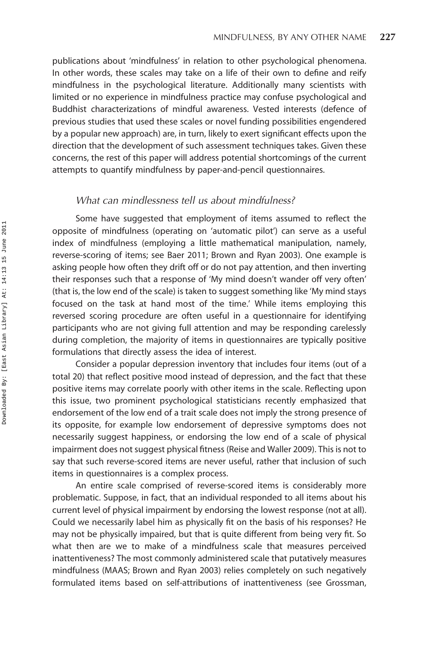publications about 'mindfulness' in relation to other psychological phenomena. In other words, these scales may take on a life of their own to define and reify mindfulness in the psychological literature. Additionally many scientists with limited or no experience in mindfulness practice may confuse psychological and Buddhist characterizations of mindful awareness. Vested interests (defence of previous studies that used these scales or novel funding possibilities engendered by a popular new approach) are, in turn, likely to exert significant effects upon the direction that the development of such assessment techniques takes. Given these concerns, the rest of this paper will address potential shortcomings of the current attempts to quantify mindfulness by paper-and-pencil questionnaires.

## What can mindlessness tell us about mindfulness?

Some have suggested that employment of items assumed to reflect the opposite of mindfulness (operating on 'automatic pilot') can serve as a useful index of mindfulness (employing a little mathematical manipulation, namely, reverse-scoring of items; see Baer 2011; Brown and Ryan 2003). One example is asking people how often they drift off or do not pay attention, and then inverting their responses such that a response of 'My mind doesn't wander off very often' (that is, the low end of the scale) is taken to suggest something like 'My mind stays focused on the task at hand most of the time.' While items employing this reversed scoring procedure are often useful in a questionnaire for identifying participants who are not giving full attention and may be responding carelessly during completion, the majority of items in questionnaires are typically positive formulations that directly assess the idea of interest.

Consider a popular depression inventory that includes four items (out of a total 20) that reflect positive mood instead of depression, and the fact that these positive items may correlate poorly with other items in the scale. Reflecting upon this issue, two prominent psychological statisticians recently emphasized that endorsement of the low end of a trait scale does not imply the strong presence of its opposite, for example low endorsement of depressive symptoms does not necessarily suggest happiness, or endorsing the low end of a scale of physical impairment does not suggest physical fitness (Reise and Waller 2009). This is not to say that such reverse-scored items are never useful, rather that inclusion of such items in questionnaires is a complex process.

An entire scale comprised of reverse-scored items is considerably more problematic. Suppose, in fact, that an individual responded to all items about his current level of physical impairment by endorsing the lowest response (not at all). Could we necessarily label him as physically fit on the basis of his responses? He may not be physically impaired, but that is quite different from being very fit. So what then are we to make of a mindfulness scale that measures perceived inattentiveness? The most commonly administered scale that putatively measures mindfulness (MAAS; Brown and Ryan 2003) relies completely on such negatively formulated items based on self-attributions of inattentiveness (see Grossman,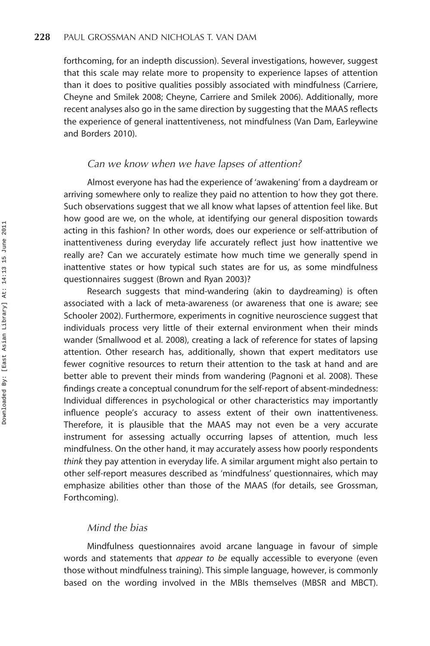forthcoming, for an indepth discussion). Several investigations, however, suggest that this scale may relate more to propensity to experience lapses of attention than it does to positive qualities possibly associated with mindfulness (Carriere, Cheyne and Smilek 2008; Cheyne, Carriere and Smilek 2006). Additionally, more recent analyses also go in the same direction by suggesting that the MAAS reflects the experience of general inattentiveness, not mindfulness (Van Dam, Earleywine and Borders 2010).

#### Can we know when we have lapses of attention?

Almost everyone has had the experience of 'awakening' from a daydream or arriving somewhere only to realize they paid no attention to how they got there. Such observations suggest that we all know what lapses of attention feel like. But how good are we, on the whole, at identifying our general disposition towards acting in this fashion? In other words, does our experience or self-attribution of inattentiveness during everyday life accurately reflect just how inattentive we really are? Can we accurately estimate how much time we generally spend in inattentive states or how typical such states are for us, as some mindfulness questionnaires suggest (Brown and Ryan 2003)?

Research suggests that mind-wandering (akin to daydreaming) is often associated with a lack of meta-awareness (or awareness that one is aware; see Schooler 2002). Furthermore, experiments in cognitive neuroscience suggest that individuals process very little of their external environment when their minds wander (Smallwood et al. 2008), creating a lack of reference for states of lapsing attention. Other research has, additionally, shown that expert meditators use fewer cognitive resources to return their attention to the task at hand and are better able to prevent their minds from wandering (Pagnoni et al. 2008). These findings create a conceptual conundrum for the self-report of absent-mindedness: Individual differences in psychological or other characteristics may importantly influence people's accuracy to assess extent of their own inattentiveness. Therefore, it is plausible that the MAAS may not even be a very accurate instrument for assessing actually occurring lapses of attention, much less mindfulness. On the other hand, it may accurately assess how poorly respondents think they pay attention in everyday life. A similar argument might also pertain to other self-report measures described as 'mindfulness' questionnaires, which may emphasize abilities other than those of the MAAS (for details, see Grossman, Forthcoming).

#### Mind the bias

Mindfulness questionnaires avoid arcane language in favour of simple words and statements that *appear to be* equally accessible to everyone (even those without mindfulness training). This simple language, however, is commonly based on the wording involved in the MBIs themselves (MBSR and MBCT).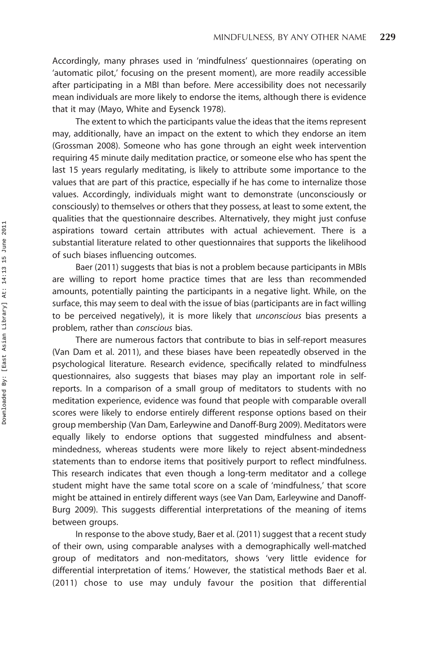Accordingly, many phrases used in 'mindfulness' questionnaires (operating on 'automatic pilot,' focusing on the present moment), are more readily accessible after participating in a MBI than before. Mere accessibility does not necessarily mean individuals are more likely to endorse the items, although there is evidence that it may (Mayo, White and Eysenck 1978).

The extent to which the participants value the ideas that the items represent may, additionally, have an impact on the extent to which they endorse an item (Grossman 2008). Someone who has gone through an eight week intervention requiring 45 minute daily meditation practice, or someone else who has spent the last 15 years regularly meditating, is likely to attribute some importance to the values that are part of this practice, especially if he has come to internalize those values. Accordingly, individuals might want to demonstrate (unconsciously or consciously) to themselves or others that they possess, at least to some extent, the qualities that the questionnaire describes. Alternatively, they might just confuse aspirations toward certain attributes with actual achievement. There is a substantial literature related to other questionnaires that supports the likelihood of such biases influencing outcomes.

Baer (2011) suggests that bias is not a problem because participants in MBIs are willing to report home practice times that are less than recommended amounts, potentially painting the participants in a negative light. While, on the surface, this may seem to deal with the issue of bias (participants are in fact willing to be perceived negatively), it is more likely that unconscious bias presents a problem, rather than conscious bias.

There are numerous factors that contribute to bias in self-report measures (Van Dam et al. 2011), and these biases have been repeatedly observed in the psychological literature. Research evidence, specifically related to mindfulness questionnaires, also suggests that biases may play an important role in selfreports. In a comparison of a small group of meditators to students with no meditation experience, evidence was found that people with comparable overall scores were likely to endorse entirely different response options based on their group membership (Van Dam, Earleywine and Danoff-Burg 2009). Meditators were equally likely to endorse options that suggested mindfulness and absentmindedness, whereas students were more likely to reject absent-mindedness statements than to endorse items that positively purport to reflect mindfulness. This research indicates that even though a long-term meditator and a college student might have the same total score on a scale of 'mindfulness,' that score might be attained in entirely different ways (see Van Dam, Earleywine and Danoff-Burg 2009). This suggests differential interpretations of the meaning of items between groups.

In response to the above study, Baer et al. (2011) suggest that a recent study of their own, using comparable analyses with a demographically well-matched group of meditators and non-meditators, shows 'very little evidence for differential interpretation of items.' However, the statistical methods Baer et al. (2011) chose to use may unduly favour the position that differential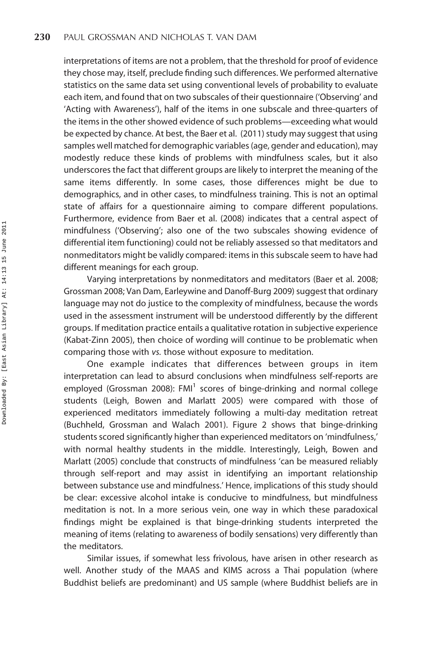interpretations of items are not a problem, that the threshold for proof of evidence they chose may, itself, preclude finding such differences. We performed alternative statistics on the same data set using conventional levels of probability to evaluate each item, and found that on two subscales of their questionnaire ('Observing' and 'Acting with Awareness'), half of the items in one subscale and three-quarters of the items in the other showed evidence of such problems—exceeding what would be expected by chance. At best, the Baer et al. (2011) study may suggest that using samples well matched for demographic variables (age, gender and education), may modestly reduce these kinds of problems with mindfulness scales, but it also underscores the fact that different groups are likely to interpret the meaning of the same items differently. In some cases, those differences might be due to demographics, and in other cases, to mindfulness training. This is not an optimal state of affairs for a questionnaire aiming to compare different populations. Furthermore, evidence from Baer et al. (2008) indicates that a central aspect of mindfulness ('Observing'; also one of the two subscales showing evidence of differential item functioning) could not be reliably assessed so that meditators and nonmeditators might be validly compared: items in this subscale seem to have had different meanings for each group.

Varying interpretations by nonmeditators and meditators (Baer et al. 2008; Grossman 2008; Van Dam, Earleywine and Danoff-Burg 2009) suggest that ordinary language may not do justice to the complexity of mindfulness, because the words used in the assessment instrument will be understood differently by the different groups. If meditation practice entails a qualitative rotation in subjective experience (Kabat-Zinn 2005), then choice of wording will continue to be problematic when comparing those with vs. those without exposure to meditation.

One example indicates that differences between groups in item interpretation can lead to absurd conclusions when mindfulness self-reports are employed (Grossman 2008):  $FMI<sup>1</sup>$  scores of binge-drinking and normal college students (Leigh, Bowen and Marlatt 2005) were compared with those of experienced meditators immediately following a multi-day meditation retreat (Buchheld, Grossman and Walach 2001). Figure 2 shows that binge-drinking students scored significantly higher than experienced meditators on 'mindfulness,' with normal healthy students in the middle. Interestingly, Leigh, Bowen and Marlatt (2005) conclude that constructs of mindfulness 'can be measured reliably through self-report and may assist in identifying an important relationship between substance use and mindfulness.' Hence, implications of this study should be clear: excessive alcohol intake is conducive to mindfulness, but mindfulness meditation is not. In a more serious vein, one way in which these paradoxical findings might be explained is that binge-drinking students interpreted the meaning of items (relating to awareness of bodily sensations) very differently than the meditators.

Similar issues, if somewhat less frivolous, have arisen in other research as well. Another study of the MAAS and KIMS across a Thai population (where Buddhist beliefs are predominant) and US sample (where Buddhist beliefs are in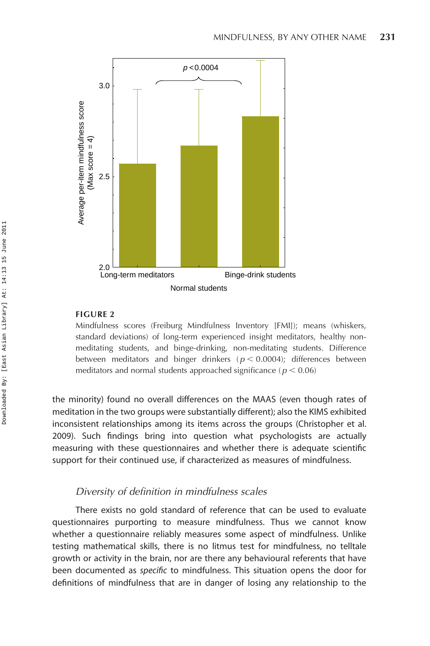

#### FIGURE 2

Mindfulness scores (Freiburg Mindfulness Inventory [FMI]); means (whiskers, standard deviations) of long-term experienced insight meditators, healthy nonmeditating students, and binge-drinking, non-meditating students. Difference between meditators and binger drinkers ( $p < 0.0004$ ); differences between meditators and normal students approached significance ( $p < 0.06$ )

the minority) found no overall differences on the MAAS (even though rates of meditation in the two groups were substantially different); also the KIMS exhibited inconsistent relationships among its items across the groups (Christopher et al. 2009). Such findings bring into question what psychologists are actually measuring with these questionnaires and whether there is adequate scientific support for their continued use, if characterized as measures of mindfulness.

#### Diversity of definition in mindfulness scales

There exists no gold standard of reference that can be used to evaluate questionnaires purporting to measure mindfulness. Thus we cannot know whether a questionnaire reliably measures some aspect of mindfulness. Unlike testing mathematical skills, there is no litmus test for mindfulness, no telltale growth or activity in the brain, nor are there any behavioural referents that have been documented as specific to mindfulness. This situation opens the door for definitions of mindfulness that are in danger of losing any relationship to the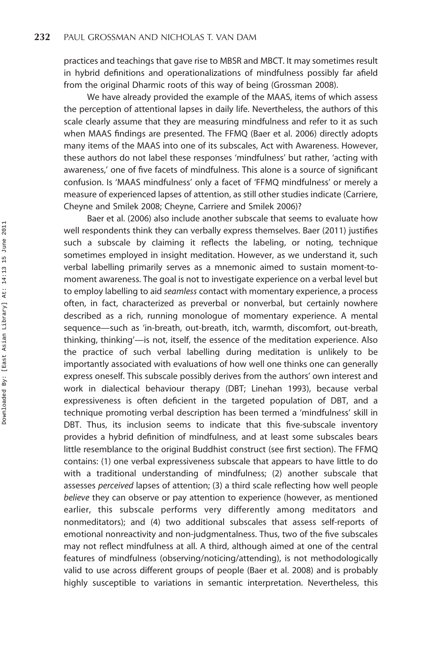practices and teachings that gave rise to MBSR and MBCT. It may sometimes result in hybrid definitions and operationalizations of mindfulness possibly far afield from the original Dharmic roots of this way of being (Grossman 2008).

We have already provided the example of the MAAS, items of which assess the perception of attentional lapses in daily life. Nevertheless, the authors of this scale clearly assume that they are measuring mindfulness and refer to it as such when MAAS findings are presented. The FFMQ (Baer et al. 2006) directly adopts many items of the MAAS into one of its subscales, Act with Awareness. However, these authors do not label these responses 'mindfulness' but rather, 'acting with awareness,' one of five facets of mindfulness. This alone is a source of significant confusion. Is 'MAAS mindfulness' only a facet of 'FFMQ mindfulness' or merely a measure of experienced lapses of attention, as still other studies indicate (Carriere, Cheyne and Smilek 2008; Cheyne, Carriere and Smilek 2006)?

Baer et al. (2006) also include another subscale that seems to evaluate how well respondents think they can verbally express themselves. Baer (2011) justifies such a subscale by claiming it reflects the labeling, or noting, technique sometimes employed in insight meditation. However, as we understand it, such verbal labelling primarily serves as a mnemonic aimed to sustain moment-tomoment awareness. The goal is not to investigate experience on a verbal level but to employ labelling to aid seamless contact with momentary experience, a process often, in fact, characterized as preverbal or nonverbal, but certainly nowhere described as a rich, running monologue of momentary experience. A mental sequence—such as 'in-breath, out-breath, itch, warmth, discomfort, out-breath, thinking, thinking'—is not, itself, the essence of the meditation experience. Also the practice of such verbal labelling during meditation is unlikely to be importantly associated with evaluations of how well one thinks one can generally express oneself. This subscale possibly derives from the authors' own interest and work in dialectical behaviour therapy (DBT; Linehan 1993), because verbal expressiveness is often deficient in the targeted population of DBT, and a technique promoting verbal description has been termed a 'mindfulness' skill in DBT. Thus, its inclusion seems to indicate that this five-subscale inventory provides a hybrid definition of mindfulness, and at least some subscales bears little resemblance to the original Buddhist construct (see first section). The FFMQ contains: (1) one verbal expressiveness subscale that appears to have little to do with a traditional understanding of mindfulness; (2) another subscale that assesses perceived lapses of attention; (3) a third scale reflecting how well people believe they can observe or pay attention to experience (however, as mentioned earlier, this subscale performs very differently among meditators and nonmeditators); and (4) two additional subscales that assess self-reports of emotional nonreactivity and non-judgmentalness. Thus, two of the five subscales may not reflect mindfulness at all. A third, although aimed at one of the central features of mindfulness (observing/noticing/attending), is not methodologically valid to use across different groups of people (Baer et al. 2008) and is probably highly susceptible to variations in semantic interpretation. Nevertheless, this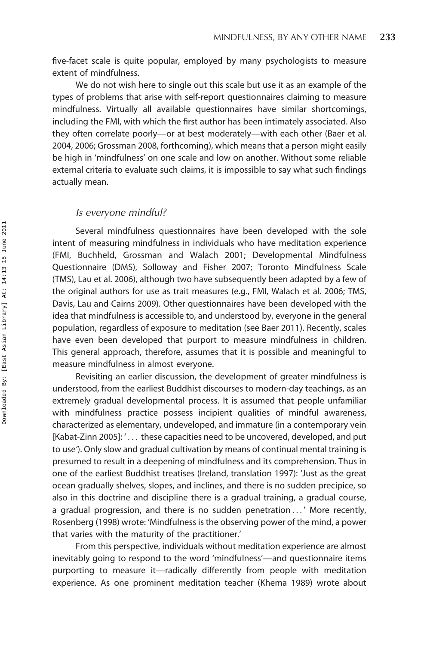five-facet scale is quite popular, employed by many psychologists to measure extent of mindfulness.

We do not wish here to single out this scale but use it as an example of the types of problems that arise with self-report questionnaires claiming to measure mindfulness. Virtually all available questionnaires have similar shortcomings, including the FMI, with which the first author has been intimately associated. Also they often correlate poorly—or at best moderately—with each other (Baer et al. 2004, 2006; Grossman 2008, forthcoming), which means that a person might easily be high in 'mindfulness' on one scale and low on another. Without some reliable external criteria to evaluate such claims, it is impossible to say what such findings actually mean.

## Is everyone mindful?

Several mindfulness questionnaires have been developed with the sole intent of measuring mindfulness in individuals who have meditation experience (FMI, Buchheld, Grossman and Walach 2001; Developmental Mindfulness Questionnaire (DMS), Solloway and Fisher 2007; Toronto Mindfulness Scale (TMS), Lau et al. 2006), although two have subsequently been adapted by a few of the original authors for use as trait measures (e.g., FMI, Walach et al. 2006; TMS, Davis, Lau and Cairns 2009). Other questionnaires have been developed with the idea that mindfulness is accessible to, and understood by, everyone in the general population, regardless of exposure to meditation (see Baer 2011). Recently, scales have even been developed that purport to measure mindfulness in children. This general approach, therefore, assumes that it is possible and meaningful to measure mindfulness in almost everyone.

Revisiting an earlier discussion, the development of greater mindfulness is understood, from the earliest Buddhist discourses to modern-day teachings, as an extremely gradual developmental process. It is assumed that people unfamiliar with mindfulness practice possess incipient qualities of mindful awareness, characterized as elementary, undeveloped, and immature (in a contemporary vein [Kabat-Zinn 2005]: ' ... these capacities need to be uncovered, developed, and put to use'). Only slow and gradual cultivation by means of continual mental training is presumed to result in a deepening of mindfulness and its comprehension. Thus in one of the earliest Buddhist treatises (Ireland, translation 1997): 'Just as the great ocean gradually shelves, slopes, and inclines, and there is no sudden precipice, so also in this doctrine and discipline there is a gradual training, a gradual course, a gradual progression, and there is no sudden penetration ... ' More recently, Rosenberg (1998) wrote: 'Mindfulness is the observing power of the mind, a power that varies with the maturity of the practitioner.'

From this perspective, individuals without meditation experience are almost inevitably going to respond to the word 'mindfulness'—and questionnaire items purporting to measure it—radically differently from people with meditation experience. As one prominent meditation teacher (Khema 1989) wrote about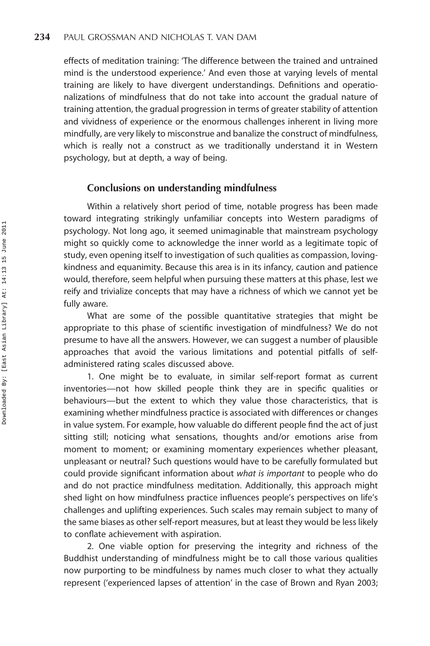#### 234 PAUL GROSSMAN AND NICHOLAS T. VAN DAM

effects of meditation training: 'The difference between the trained and untrained mind is the understood experience.' And even those at varying levels of mental training are likely to have divergent understandings. Definitions and operationalizations of mindfulness that do not take into account the gradual nature of training attention, the gradual progression in terms of greater stability of attention and vividness of experience or the enormous challenges inherent in living more mindfully, are very likely to misconstrue and banalize the construct of mindfulness, which is really not a construct as we traditionally understand it in Western psychology, but at depth, a way of being.

#### Conclusions on understanding mindfulness

Within a relatively short period of time, notable progress has been made toward integrating strikingly unfamiliar concepts into Western paradigms of psychology. Not long ago, it seemed unimaginable that mainstream psychology might so quickly come to acknowledge the inner world as a legitimate topic of study, even opening itself to investigation of such qualities as compassion, lovingkindness and equanimity. Because this area is in its infancy, caution and patience would, therefore, seem helpful when pursuing these matters at this phase, lest we reify and trivialize concepts that may have a richness of which we cannot yet be fully aware.

What are some of the possible quantitative strategies that might be appropriate to this phase of scientific investigation of mindfulness? We do not presume to have all the answers. However, we can suggest a number of plausible approaches that avoid the various limitations and potential pitfalls of selfadministered rating scales discussed above.

1. One might be to evaluate, in similar self-report format as current inventories—not how skilled people think they are in specific qualities or behaviours—but the extent to which they value those characteristics, that is examining whether mindfulness practice is associated with differences or changes in value system. For example, how valuable do different people find the act of just sitting still; noticing what sensations, thoughts and/or emotions arise from moment to moment; or examining momentary experiences whether pleasant, unpleasant or neutral? Such questions would have to be carefully formulated but could provide significant information about what is important to people who do and do not practice mindfulness meditation. Additionally, this approach might shed light on how mindfulness practice influences people's perspectives on life's challenges and uplifting experiences. Such scales may remain subject to many of the same biases as other self-report measures, but at least they would be less likely to conflate achievement with aspiration.

2. One viable option for preserving the integrity and richness of the Buddhist understanding of mindfulness might be to call those various qualities now purporting to be mindfulness by names much closer to what they actually represent ('experienced lapses of attention' in the case of Brown and Ryan 2003;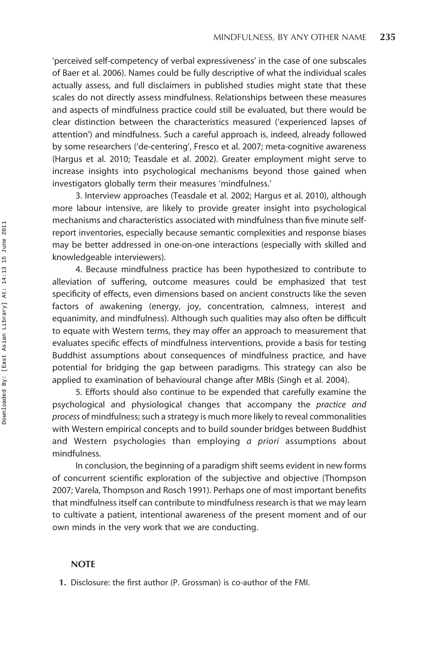'perceived self-competency of verbal expressiveness' in the case of one subscales of Baer et al. 2006). Names could be fully descriptive of what the individual scales actually assess, and full disclaimers in published studies might state that these scales do not directly assess mindfulness. Relationships between these measures and aspects of mindfulness practice could still be evaluated, but there would be clear distinction between the characteristics measured ('experienced lapses of attention') and mindfulness. Such a careful approach is, indeed, already followed by some researchers ('de-centering', Fresco et al. 2007; meta-cognitive awareness (Hargus et al. 2010; Teasdale et al. 2002). Greater employment might serve to increase insights into psychological mechanisms beyond those gained when investigators globally term their measures 'mindfulness.'

3. Interview approaches (Teasdale et al. 2002; Hargus et al. 2010), although more labour intensive, are likely to provide greater insight into psychological mechanisms and characteristics associated with mindfulness than five minute selfreport inventories, especially because semantic complexities and response biases may be better addressed in one-on-one interactions (especially with skilled and knowledgeable interviewers).

4. Because mindfulness practice has been hypothesized to contribute to alleviation of suffering, outcome measures could be emphasized that test specificity of effects, even dimensions based on ancient constructs like the seven factors of awakening (energy, joy, concentration, calmness, interest and equanimity, and mindfulness). Although such qualities may also often be difficult to equate with Western terms, they may offer an approach to measurement that evaluates specific effects of mindfulness interventions, provide a basis for testing Buddhist assumptions about consequences of mindfulness practice, and have potential for bridging the gap between paradigms. This strategy can also be applied to examination of behavioural change after MBIs (Singh et al. 2004).

5. Efforts should also continue to be expended that carefully examine the psychological and physiological changes that accompany the practice and process of mindfulness; such a strategy is much more likely to reveal commonalities with Western empirical concepts and to build sounder bridges between Buddhist and Western psychologies than employing a priori assumptions about mindfulness.

In conclusion, the beginning of a paradigm shift seems evident in new forms of concurrent scientific exploration of the subjective and objective (Thompson 2007; Varela, Thompson and Rosch 1991). Perhaps one of most important benefits that mindfulness itself can contribute to mindfulness research is that we may learn to cultivate a patient, intentional awareness of the present moment and of our own minds in the very work that we are conducting.

#### **NOTE**

1. Disclosure: the first author (P. Grossman) is co-author of the FMI.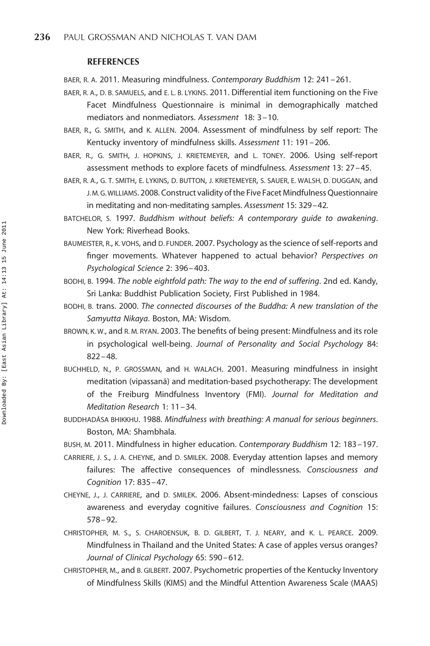#### **REFERENCES**

BAER, R. A. 2011. Measuring mindfulness. Contemporary Buddhism 12: 241–261.

- BAER, R. A., D. B. SAMUELS, and E. L. B. LYKINS. 2011. Differential item functioning on the Five Facet Mindfulness Questionnaire is minimal in demographically matched mediators and nonmediators. Assessment 18: 3–10.
- BAER, R., G. SMITH, and K. ALLEN. 2004. Assessment of mindfulness by self report: The Kentucky inventory of mindfulness skills. Assessment 11: 191–206.
- BAER, R., G. SMITH, J. HOPKINS, J. KRIETEMEYER, and L. TONEY. 2006. Using self-report assessment methods to explore facets of mindfulness. Assessment 13: 27–45.
- BAER, R. A., G. T. SMITH, E. LYKINS, D. BUTTON, J. KRIETEMEYER, S. SAUER, E. WALSH, D. DUGGAN, and J. M. G. WILLIAMS. 2008. Construct validity of the Five Facet Mindfulness Questionnaire in meditating and non-meditating samples. Assessment 15: 329–42.
- BATCHELOR, S. 1997. Buddhism without beliefs: A contemporary guide to awakening. New York: Riverhead Books.
- BAUMEISTER, R., K. VOHS, and D. FUNDER. 2007. Psychology as the science of self-reports and finger movements. Whatever happened to actual behavior? Perspectives on Psychological Science 2: 396–403.
- BODHI, B. 1994. The noble eightfold path: The way to the end of suffering. 2nd ed. Kandy, Sri Lanka: Buddhist Publication Society, First Published in 1984.
- BODHI, B. trans. 2000. The connected discourses of the Buddha: A new translation of the Samyutta Nikaya. Boston, MA: Wisdom.
- BROWN, K. W., and R. M. RYAN. 2003. The benefits of being present: Mindfulness and its role in psychological well-being. Journal of Personality and Social Psychology 84: 822–48.
- BUCHHELD, N., P. GROSSMAN, and H. WALACH. 2001. Measuring mindfulness in insight meditation (vipassanā) and meditation-based psychotherapy: The development of the Freiburg Mindfulness Inventory (FMI). Journal for Meditation and Meditation Research 1: 11–34.
- BUDDHADĀSA BHIKKHU. 1988. Mindfulness with breathing: A manual for serious beginners. Boston, MA: Shambhala.

BUSH, M. 2011. Mindfulness in higher education. Contemporary Buddhism 12: 183–197.

- CARRIERE, J. S., J. A. CHEYNE, and D. SMILEK. 2008. Everyday attention lapses and memory failures: The affective consequences of mindlessness. Consciousness and Cognition 17: 835–47.
- CHEYNE, J., J. CARRIERE, and D. SMILEK. 2006. Absent-mindedness: Lapses of conscious awareness and everyday cognitive failures. Consciousness and Cognition 15: 578–92.
- CHRISTOPHER, M. S., S. CHAROENSUK, B. D. GILBERT, T. J. NEARY, and K. L. PEARCE. 2009. Mindfulness in Thailand and the United States: A case of apples versus oranges? Journal of Clinical Psychology 65: 590–612.
- CHRISTOPHER, M., and B. GILBERT. 2007. Psychometric properties of the Kentucky Inventory of Mindfulness Skills (KIMS) and the Mindful Attention Awareness Scale (MAAS)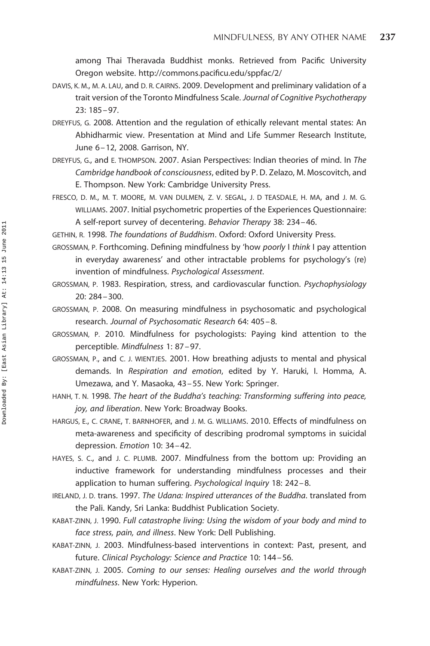among Thai Theravada Buddhist monks. Retrieved from Pacific University Oregon website. http://commons.pacificu.edu/sppfac/2/

- DAVIS, K. M., M. A. LAU, and D. R. CAIRNS. 2009. Development and preliminary validation of a trait version of the Toronto Mindfulness Scale. Journal of Cognitive Psychotherapy 23: 185–97.
- DREYFUS, G. 2008. Attention and the regulation of ethically relevant mental states: An Abhidharmic view. Presentation at Mind and Life Summer Research Institute, June 6–12, 2008. Garrison, NY.
- DREYFUS, G., and E. THOMPSON. 2007. Asian Perspectives: Indian theories of mind. In The Cambridge handbook of consciousness, edited by P. D. Zelazo, M. Moscovitch, and E. Thompson. New York: Cambridge University Press.
- FRESCO, D. M., M. T. MOORE, M. VAN DULMEN, Z. V. SEGAL, J. D TEASDALE, H. MA, and J. M. G. WILLIAMS. 2007. Initial psychometric properties of the Experiences Questionnaire: A self-report survey of decentering. Behavior Therapy 38: 234–46.

GETHIN, R. 1998. The foundations of Buddhism. Oxford: Oxford University Press.

- GROSSMAN, P. Forthcoming. Defining mindfulness by 'how poorly I think I pay attention in everyday awareness' and other intractable problems for psychology's (re) invention of mindfulness. Psychological Assessment.
- GROSSMAN, P. 1983. Respiration, stress, and cardiovascular function. Psychophysiology 20: 284–300.
- GROSSMAN, P. 2008. On measuring mindfulness in psychosomatic and psychological research. Journal of Psychosomatic Research 64: 405–8.
- GROSSMAN, P. 2010. Mindfulness for psychologists: Paying kind attention to the perceptible. Mindfulness 1: 87–97.
- GROSSMAN, P., and C. J. WIENTJES. 2001. How breathing adjusts to mental and physical demands. In Respiration and emotion, edited by Y. Haruki, I. Homma, A. Umezawa, and Y. Masaoka, 43–55. New York: Springer.
- HANH, T. N. 1998. The heart of the Buddha's teaching: Transforming suffering into peace, joy, and liberation. New York: Broadway Books.
- HARGUS, E., C. CRANE, T. BARNHOFER, and J. M. G. WILLIAMS. 2010. Effects of mindfulness on meta-awareness and specificity of describing prodromal symptoms in suicidal depression. Emotion 10: 34–42.
- HAYES, S. C., and J. C. PLUMB. 2007. Mindfulness from the bottom up: Providing an inductive framework for understanding mindfulness processes and their application to human suffering. Psychological Inquiry 18: 242–8.
- IRELAND, J. D. trans. 1997. The Udana: Inspired utterances of the Buddha. translated from the Pali. Kandy, Sri Lanka: Buddhist Publication Society.
- KABAT-ZINN, J. 1990. Full catastrophe living: Using the wisdom of your body and mind to face stress, pain, and illness. New York: Dell Publishing.
- KABAT-ZINN, J. 2003. Mindfulness-based interventions in context: Past, present, and future. Clinical Psychology: Science and Practice 10: 144–56.
- KABAT-ZINN, J. 2005. Coming to our senses: Healing ourselves and the world through mindfulness. New York: Hyperion.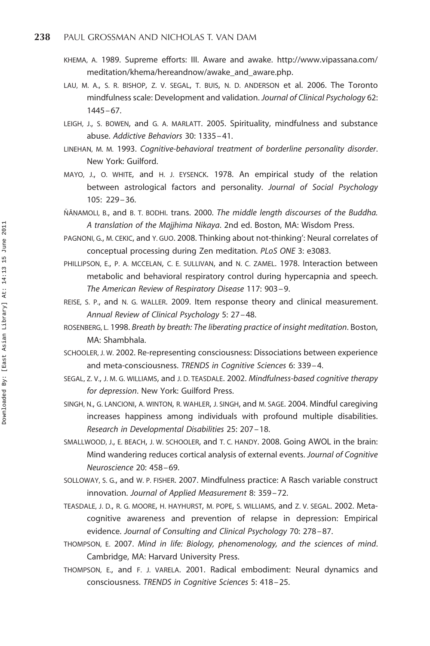- KHEMA, A. 1989. Supreme efforts: III. Aware and awake. http://www.vipassana.com/ meditation/khema/hereandnow/awake\_and\_aware.php.
- LAU, M. A., S. R. BISHOP, Z. V. SEGAL, T. BUIS, N. D. ANDERSON et al. 2006. The Toronto mindfulness scale: Development and validation. Journal of Clinical Psychology 62: 1445–67.
- LEIGH, J., S. BOWEN, and G. A. MARLATT. 2005. Spirituality, mindfulness and substance abuse. Addictive Behaviors 30: 1335–41.
- LINEHAN, M. M. 1993. Cognitive-behavioral treatment of borderline personality disorder. New York: Guilford.
- MAYO, J., O. WHITE, and H. J. EYSENCK. 1978. An empirical study of the relation between astrological factors and personality. Journal of Social Psychology 105: 229–36.
- ÑĀŅAMOLI, B., and B. T. BODHI. trans. 2000. *The middle length discourses of the Buddha*. A translation of the Majjhima Nikaya. 2nd ed. Boston, MA: Wisdom Press.
- PAGNONI, G., M. CEKIC, and Y. GUO. 2008. Thinking about not-thinking': Neural correlates of conceptual processing during Zen meditation. PLoS ONE 3: e3083.
- PHILLIPSON, E., P. A. MCCELAN, C. E. SULLIVAN, and N. C. ZAMEL. 1978. Interaction between metabolic and behavioral respiratory control during hypercapnia and speech. The American Review of Respiratory Disease 117: 903–9.
- REISE, S. P., and N. G. WALLER. 2009. Item response theory and clinical measurement. Annual Review of Clinical Psychology 5: 27–48.
- ROSENBERG, L. 1998. Breath by breath: The liberating practice of insight meditation. Boston, MA: Shambhala.
- SCHOOLER, J. W. 2002. Re-representing consciousness: Dissociations between experience and meta-consciousness. TRENDS in Cognitive Sciences 6: 339–4.
- SEGAL, Z. V., J. M. G. WILLIAMS, and J. D. TEASDALE. 2002. Mindfulness-based cognitive therapy for depression. New York: Guilford Press.
- SINGH, N., G. LANCIONI, A. WINTON, R. WAHLER, J. SINGH, and M. SAGE. 2004. Mindful caregiving increases happiness among individuals with profound multiple disabilities. Research in Developmental Disabilities 25: 207–18.
- SMALLWOOD, J., E. BEACH, J. W. SCHOOLER, and T. C. HANDY. 2008. Going AWOL in the brain: Mind wandering reduces cortical analysis of external events. Journal of Cognitive Neuroscience 20: 458–69.
- SOLLOWAY, S. G., and W. P. FISHER. 2007. Mindfulness practice: A Rasch variable construct innovation. Journal of Applied Measurement 8: 359–72.
- TEASDALE, J. D., R. G. MOORE, H. HAYHURST, M. POPE, S. WILLIAMS, and Z. V. SEGAL. 2002. Metacognitive awareness and prevention of relapse in depression: Empirical evidence. Journal of Consulting and Clinical Psychology 70: 278–87.
- THOMPSON, E. 2007. Mind in life: Biology, phenomenology, and the sciences of mind. Cambridge, MA: Harvard University Press.
- THOMPSON, E., and F. J. VARELA. 2001. Radical embodiment: Neural dynamics and consciousness. TRENDS in Cognitive Sciences 5: 418–25.